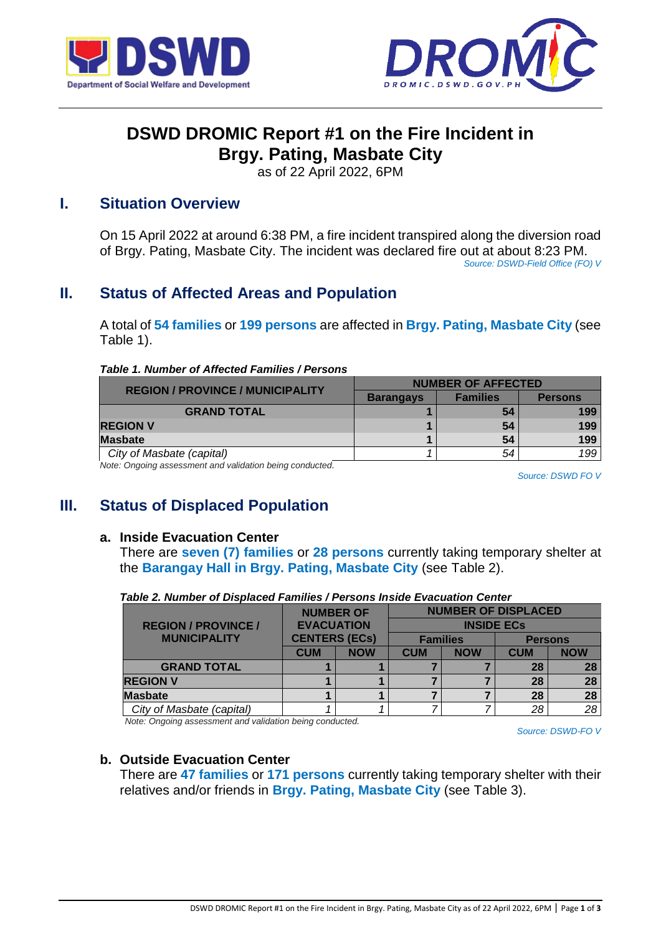



# **DSWD DROMIC Report #1 on the Fire Incident in Brgy. Pating, Masbate City**

as of 22 April 2022, 6PM

## **I. Situation Overview**

On 15 April 2022 at around 6:38 PM, a fire incident transpired along the diversion road of Brgy. Pating, Masbate City. The incident was declared fire out at about 8:23 PM. *Source: DSWD-Field Office (FO) V*

# **II. Status of Affected Areas and Population**

A total of **54 families** or **199 persons** are affected in **Brgy. Pating, Masbate City** (see Table 1).

#### *Table 1. Number of Affected Families / Persons*

| <b>NUMBER OF AFFECTED</b> |                 |                |  |
|---------------------------|-----------------|----------------|--|
| <b>Barangays</b>          | <b>Families</b> | <b>Persons</b> |  |
|                           | 54              | 199            |  |
|                           | 54              | 199            |  |
|                           | 54              | 199            |  |
|                           | 54              | 199            |  |
|                           |                 |                |  |

*Note: Ongoing assessment and validation being conducted.* 

*Source: DSWD FO V*

# **III. Status of Displaced Population**

#### **a. Inside Evacuation Center**

There are **seven (7) families** or **28 persons** currently taking temporary shelter at the **Barangay Hall in Brgy. Pating, Masbate City** (see Table 2).

|                            | <b>NUMBER OF</b>                        |            |            |            | <b>NUMBER OF DISPLACED</b> |                |  |
|----------------------------|-----------------------------------------|------------|------------|------------|----------------------------|----------------|--|
| <b>REGION / PROVINCE /</b> | <b>EVACUATION</b>                       |            |            |            | <b>INSIDE ECS</b>          |                |  |
| <b>MUNICIPALITY</b>        | <b>CENTERS (ECs)</b><br><b>Families</b> |            |            |            |                            | <b>Persons</b> |  |
|                            | <b>CUM</b>                              | <b>NOW</b> | <b>CUM</b> | <b>NOW</b> | <b>CUM</b>                 | <b>NOW</b>     |  |
| <b>GRAND TOTAL</b>         |                                         |            |            |            | 28                         | 28             |  |
| <b>REGION V</b>            |                                         |            |            |            | 28                         | 28             |  |
| <b>Masbate</b>             |                                         |            |            |            | 28                         | 28             |  |
| City of Masbate (capital)  |                                         |            |            |            | 28                         | 28             |  |

*Table 2. Number of Displaced Families / Persons Inside Evacuation Center*

*Note: Ongoing assessment and validation being conducted.*

*Source: DSWD-FO V*

## **b. Outside Evacuation Center**

There are **47 families** or **171 persons** currently taking temporary shelter with their relatives and/or friends in **Brgy. Pating, Masbate City** (see Table 3).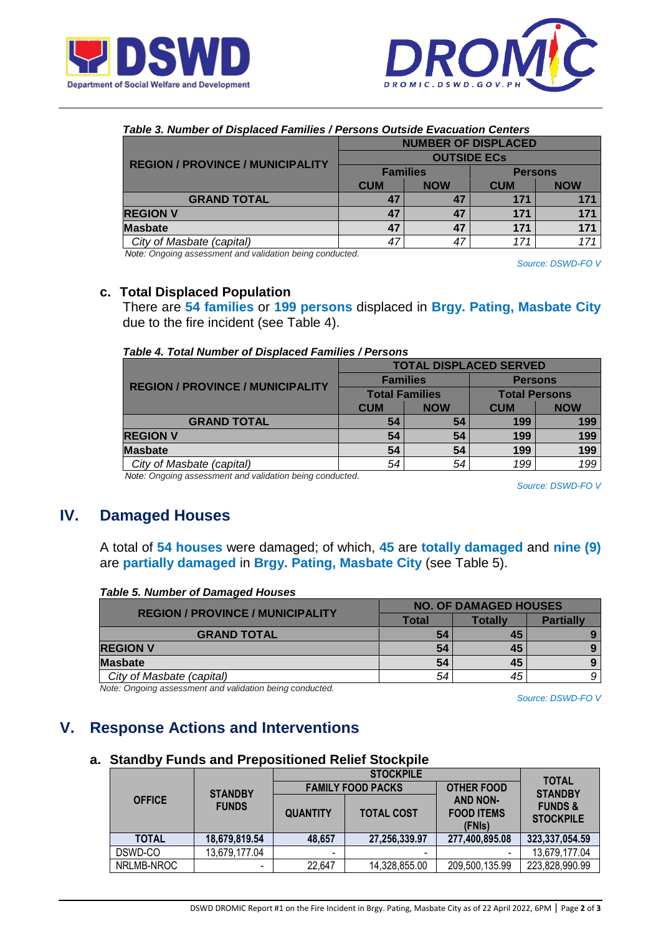



|  | Table 3. Number of Displaced Families / Persons Outside Evacuation Centers |  |
|--|----------------------------------------------------------------------------|--|
|  |                                                                            |  |

|                                         | <b>NUMBER OF DISPLACED</b> |            |                |            |  |
|-----------------------------------------|----------------------------|------------|----------------|------------|--|
|                                         | <b>OUTSIDE ECS</b>         |            |                |            |  |
| <b>REGION / PROVINCE / MUNICIPALITY</b> | <b>Families</b>            |            | <b>Persons</b> |            |  |
|                                         | <b>CUM</b>                 | <b>NOW</b> | <b>CUM</b>     | <b>NOW</b> |  |
| <b>GRAND TOTAL</b>                      | 47                         | 47         | 171            | 171        |  |
| <b>REGION V</b>                         | 47                         | 47         | 171            | 171        |  |
| <b>Masbate</b>                          | 47                         | 47         | 171            | 171        |  |
| City of Masbate (capital)               | 47                         | 47         | 171            |            |  |

*Note: Ongoing assessment and validation being conducted.*

*Source: DSWD-FO V*

### **c. Total Displaced Population**

There are **54 families** or **199 persons** displaced in **Brgy. Pating, Masbate City** due to the fire incident (see Table 4).

|                                         | <b>TOTAL DISPLACED SERVED</b> |                 |                      |            |  |
|-----------------------------------------|-------------------------------|-----------------|----------------------|------------|--|
|                                         |                               | <b>Families</b> | <b>Persons</b>       |            |  |
| <b>REGION / PROVINCE / MUNICIPALITY</b> | <b>Total Families</b>         |                 | <b>Total Persons</b> |            |  |
|                                         | <b>CUM</b>                    | <b>NOW</b>      | <b>CUM</b>           | <b>NOW</b> |  |
| <b>GRAND TOTAL</b>                      | 54                            | 54              | 199                  | 199        |  |
| <b>REGION V</b>                         | 54                            | 54              | 199                  | 199        |  |
| <b>Masbate</b>                          | 54                            | 54              | 199                  | 199        |  |
| City of Masbate (capital)               | 54                            | 54              | 199                  | 199        |  |

*Note: Ongoing assessment and validation being conducted.*

*Source: DSWD-FO V*

## **IV. Damaged Houses**

A total of **54 houses** were damaged; of which, **45** are **totally damaged** and **nine (9)** are **partially damaged** in **Brgy. Pating, Masbate City** (see Table 5).

#### *Table 5. Number of Damaged Houses*

| <b>REGION / PROVINCE / MUNICIPALITY</b> | <b>NO. OF DAMAGED HOUSES</b> |         |                  |  |
|-----------------------------------------|------------------------------|---------|------------------|--|
|                                         | Total                        | Totallv | <b>Partially</b> |  |
| <b>GRAND TOTAL</b>                      | 54                           | 45      |                  |  |
| <b>REGION V</b>                         | 54                           | 45      |                  |  |
| <b>Masbate</b>                          | 54                           | 45      |                  |  |
| City of Masbate (capital)               | 54                           | 45      |                  |  |

*Note: Ongoing assessment and validation being conducted.*

*Source: DSWD-FO V*

# **V. Response Actions and Interventions**

### **a. Standby Funds and Prepositioned Relief Stockpile**

|               |                          |                          | <b>STOCKPILE</b>  | <b>TOTAL</b>                                   |                                        |
|---------------|--------------------------|--------------------------|-------------------|------------------------------------------------|----------------------------------------|
|               | <b>STANDBY</b>           | <b>FAMILY FOOD PACKS</b> |                   | <b>OTHER FOOD</b>                              | <b>STANDBY</b>                         |
| <b>OFFICE</b> | <b>FUNDS</b>             | <b>QUANTITY</b>          | <b>TOTAL COST</b> | <b>AND NON-</b><br><b>FOOD ITEMS</b><br>(FNIs) | <b>FUNDS &amp;</b><br><b>STOCKPILE</b> |
| <b>TOTAL</b>  | 18,679,819.54            | 48,657                   | 27,256,339.97     | 277,400,895.08                                 | 323,337,054.59                         |
| DSWD-CO       | 13,679,177.04            | $\,$                     | $\,$              |                                                | 13,679,177.04                          |
| NRLMB-NROC    | $\overline{\phantom{0}}$ | 22,647                   | 14,328,855.00     | 209,500,135.99                                 | 223,828,990.99                         |